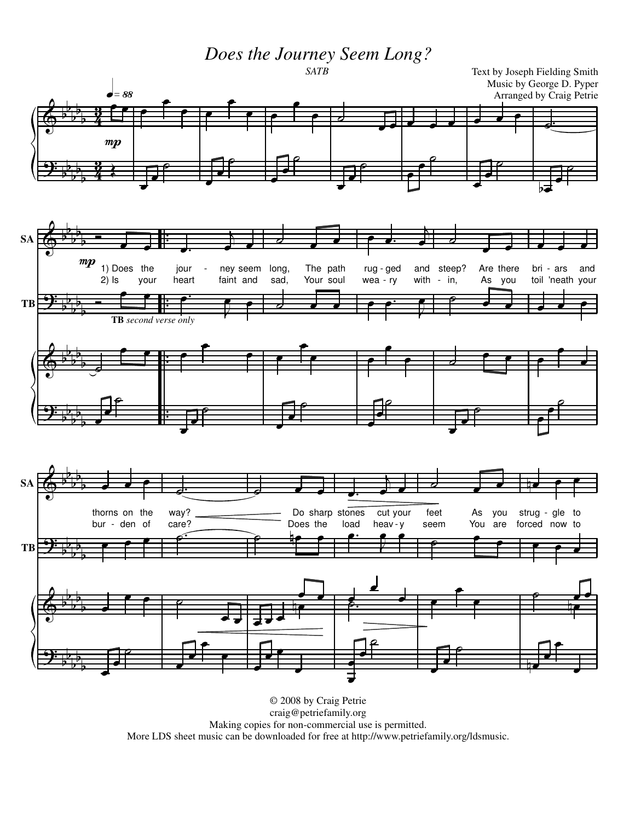*Does the Journey Seem Long?*



© 2008 by Craig Petrie craig@petriefamily.org Making copies for non-commercial use is permitted. More LDS sheet music can be downloaded for free at http://www.petriefamily.org/ldsmusic.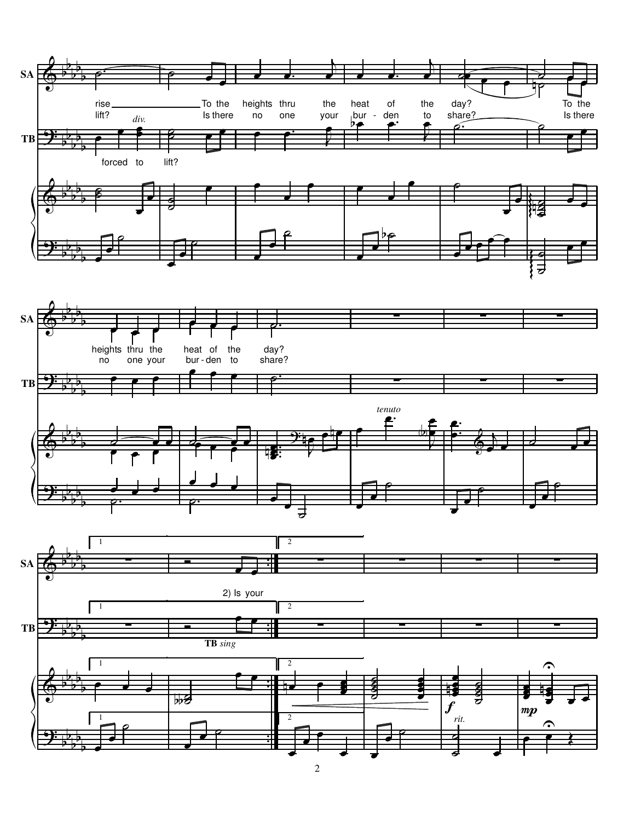![](_page_1_Figure_0.jpeg)

2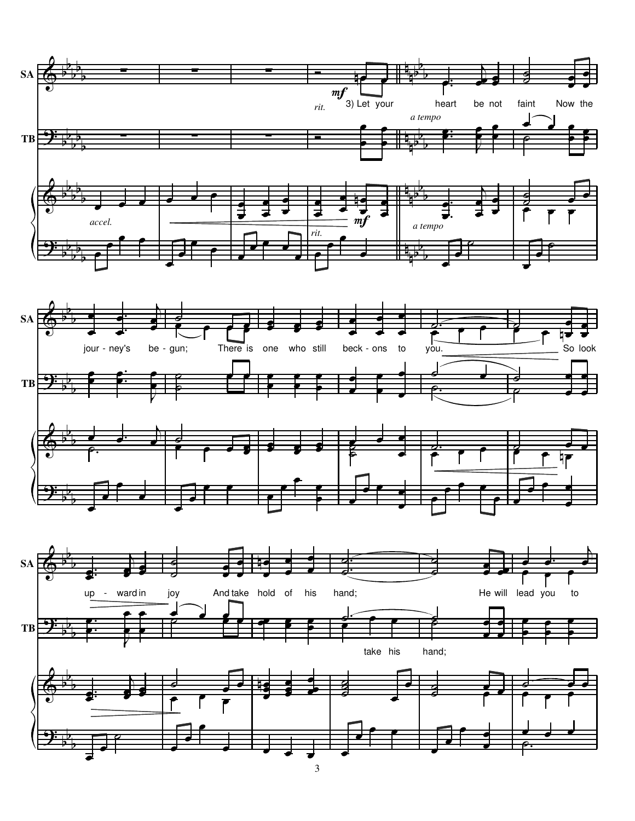![](_page_2_Figure_0.jpeg)

3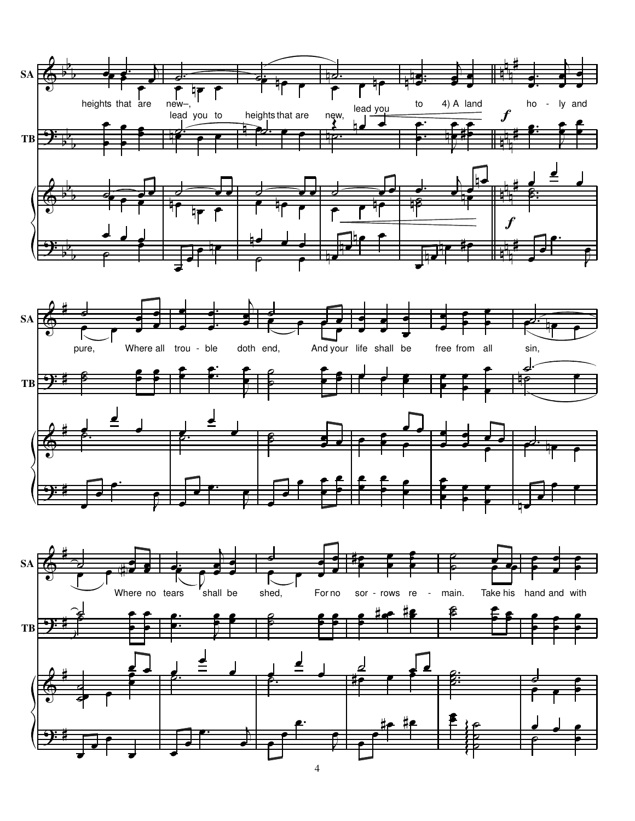![](_page_3_Figure_0.jpeg)